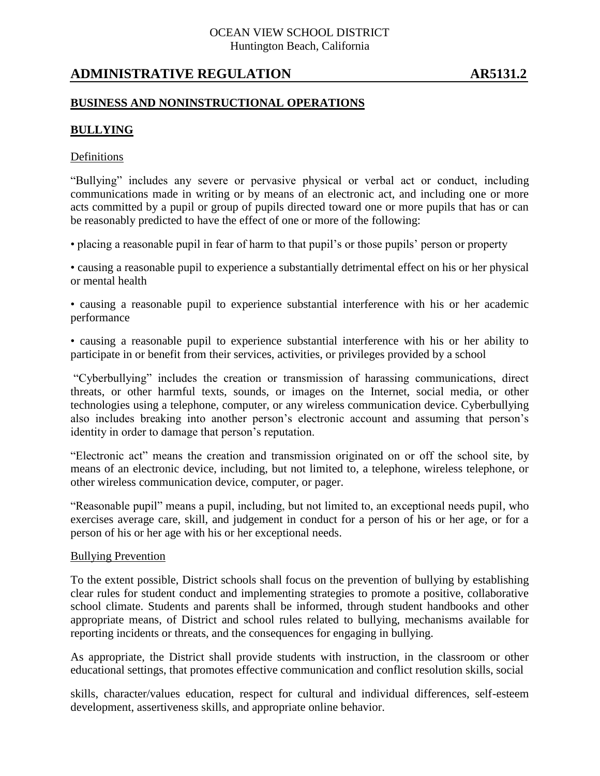## OCEAN VIEW SCHOOL DISTRICT Huntington Beach, California

# **ADMINISTRATIVE REGULATION AR5131.2**

## **BUSINESS AND NONINSTRUCTIONAL OPERATIONS**

## **BULLYING**

## Definitions

"Bullying" includes any severe or pervasive physical or verbal act or conduct, including communications made in writing or by means of an electronic act, and including one or more acts committed by a pupil or group of pupils directed toward one or more pupils that has or can be reasonably predicted to have the effect of one or more of the following:

• placing a reasonable pupil in fear of harm to that pupil's or those pupils' person or property

• causing a reasonable pupil to experience a substantially detrimental effect on his or her physical or mental health

• causing a reasonable pupil to experience substantial interference with his or her academic performance

• causing a reasonable pupil to experience substantial interference with his or her ability to participate in or benefit from their services, activities, or privileges provided by a school

"Cyberbullying" includes the creation or transmission of harassing communications, direct threats, or other harmful texts, sounds, or images on the Internet, social media, or other technologies using a telephone, computer, or any wireless communication device. Cyberbullying also includes breaking into another person's electronic account and assuming that person's identity in order to damage that person's reputation.

"Electronic act" means the creation and transmission originated on or off the school site, by means of an electronic device, including, but not limited to, a telephone, wireless telephone, or other wireless communication device, computer, or pager.

"Reasonable pupil" means a pupil, including, but not limited to, an exceptional needs pupil, who exercises average care, skill, and judgement in conduct for a person of his or her age, or for a person of his or her age with his or her exceptional needs.

#### Bullying Prevention

To the extent possible, District schools shall focus on the prevention of bullying by establishing clear rules for student conduct and implementing strategies to promote a positive, collaborative school climate. Students and parents shall be informed, through student handbooks and other appropriate means, of District and school rules related to bullying, mechanisms available for reporting incidents or threats, and the consequences for engaging in bullying.

As appropriate, the District shall provide students with instruction, in the classroom or other educational settings, that promotes effective communication and conflict resolution skills, social

skills, character/values education, respect for cultural and individual differences, self-esteem development, assertiveness skills, and appropriate online behavior.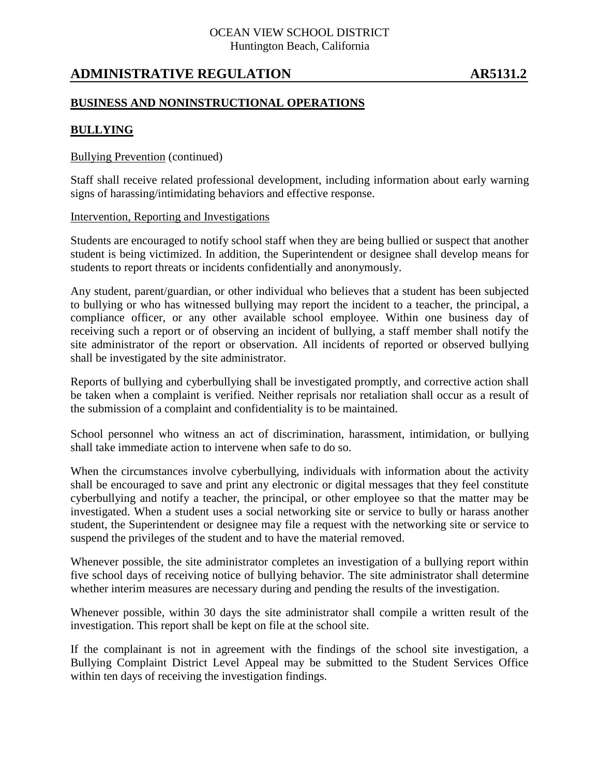## OCEAN VIEW SCHOOL DISTRICT Huntington Beach, California

# **ADMINISTRATIVE REGULATION AR5131.2**

## **BUSINESS AND NONINSTRUCTIONAL OPERATIONS**

## **BULLYING**

### Bullying Prevention (continued)

Staff shall receive related professional development, including information about early warning signs of harassing/intimidating behaviors and effective response.

### Intervention, Reporting and Investigations

Students are encouraged to notify school staff when they are being bullied or suspect that another student is being victimized. In addition, the Superintendent or designee shall develop means for students to report threats or incidents confidentially and anonymously.

Any student, parent/guardian, or other individual who believes that a student has been subjected to bullying or who has witnessed bullying may report the incident to a teacher, the principal, a compliance officer, or any other available school employee. Within one business day of receiving such a report or of observing an incident of bullying, a staff member shall notify the site administrator of the report or observation. All incidents of reported or observed bullying shall be investigated by the site administrator.

Reports of bullying and cyberbullying shall be investigated promptly, and corrective action shall be taken when a complaint is verified. Neither reprisals nor retaliation shall occur as a result of the submission of a complaint and confidentiality is to be maintained.

School personnel who witness an act of discrimination, harassment, intimidation, or bullying shall take immediate action to intervene when safe to do so.

When the circumstances involve cyberbullying, individuals with information about the activity shall be encouraged to save and print any electronic or digital messages that they feel constitute cyberbullying and notify a teacher, the principal, or other employee so that the matter may be investigated. When a student uses a social networking site or service to bully or harass another student, the Superintendent or designee may file a request with the networking site or service to suspend the privileges of the student and to have the material removed.

Whenever possible, the site administrator completes an investigation of a bullying report within five school days of receiving notice of bullying behavior. The site administrator shall determine whether interim measures are necessary during and pending the results of the investigation.

Whenever possible, within 30 days the site administrator shall compile a written result of the investigation. This report shall be kept on file at the school site.

If the complainant is not in agreement with the findings of the school site investigation, a Bullying Complaint District Level Appeal may be submitted to the Student Services Office within ten days of receiving the investigation findings.